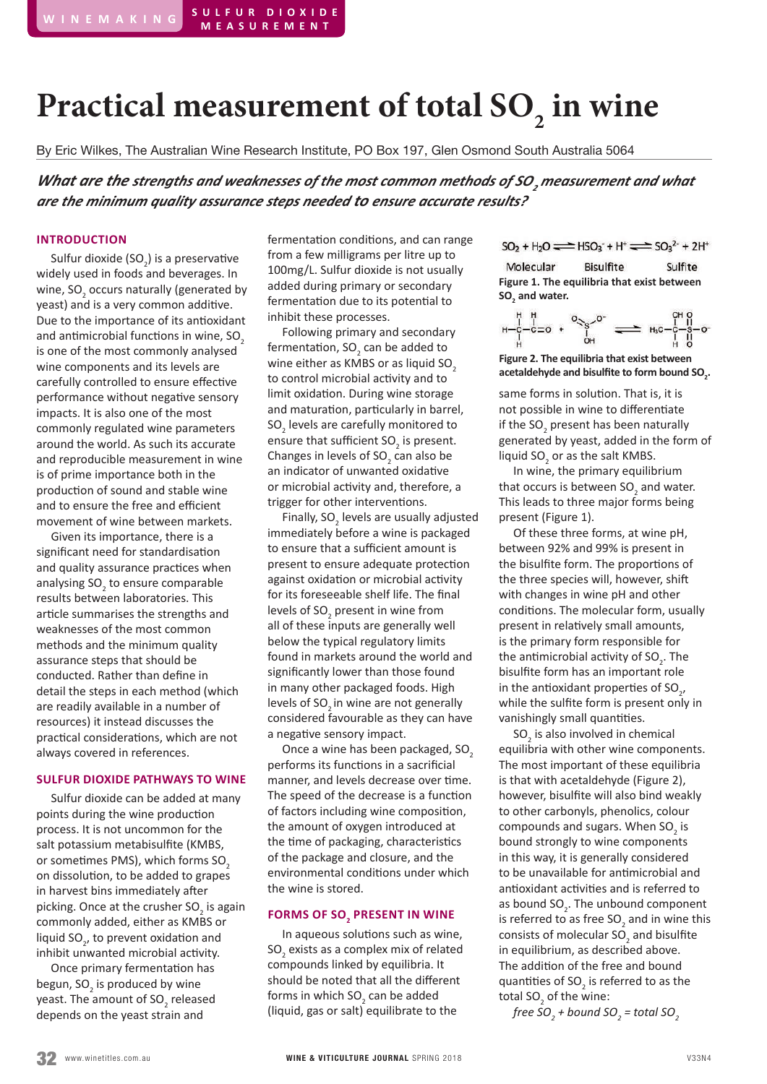# Practical measurement of total SO<sub>2</sub> in wine

By Eric Wilkes, The Australian Wine Research Institute, PO Box 197, Glen Osmond South Australia 5064

*What are the strengths and weaknesses of the most common methods of SO<sup>2</sup> measurement and what are the minimum quality assurance steps needed to ensure accurate results?*

#### **INTRODUCTION**

Sulfur dioxide (SO<sub>2</sub>) is a preservative widely used in foods and beverages. In wine, SO<sub>2</sub> occurs naturally (generated by yeast) and is a very common additive. Due to the importance of its antioxidant and antimicrobial functions in wine, SO<sub>2</sub> is one of the most commonly analysed wine components and its levels are carefully controlled to ensure effective performance without negative sensory impacts. It is also one of the most commonly regulated wine parameters around the world. As such its accurate and reproducible measurement in wine is of prime importance both in the production of sound and stable wine and to ensure the free and efficient movement of wine between markets.

Given its importance, there is a significant need for standardisation and quality assurance practices when analysing SO<sub>2</sub> to ensure comparable results between laboratories. This article summarises the strengths and weaknesses of the most common methods and the minimum quality assurance steps that should be conducted. Rather than define in detail the steps in each method (which are readily available in a number of resources) it instead discusses the practical considerations, which are not always covered in references.

#### **SULFUR DIOXIDE PATHWAYS TO WINE**

Sulfur dioxide can be added at many points during the wine production process. It is not uncommon for the salt potassium metabisulfite (KMBS, or sometimes PMS), which forms SO<sub>2</sub> on dissolution, to be added to grapes in harvest bins immediately after picking. Once at the crusher SO<sub>2</sub> is again commonly added, either as KMBS or liquid SO<sub>2</sub>, to prevent oxidation and inhibit unwanted microbial activity.

Once primary fermentation has begun, SO<sub>2</sub> is produced by wine yeast. The amount of SO<sub>2</sub> released depends on the yeast strain and

fermentation conditions, and can range from a few milligrams per litre up to 100mg/L. Sulfur dioxide is not usually added during primary or secondary fermentation due to its potential to inhibit these processes.

Following primary and secondary fermentation, SO<sub>2</sub> can be added to wine either as  $KMBS$  or as liquid  $SO<sub>2</sub>$ to control microbial activity and to limit oxidation. During wine storage and maturation, particularly in barrel,  ${SO_2}$  levels are carefully monitored to ensure that sufficient  $SO_2$  is present. Changes in levels of  $SO<sub>2</sub>$  can also be an indicator of unwanted oxidative or microbial activity and, therefore, a trigger for other interventions.

Finally,  $SO_2$  levels are usually adjusted immediately before a wine is packaged to ensure that a sufficient amount is present to ensure adequate protection against oxidation or microbial activity for its foreseeable shelf life. The final levels of SO<sub>2</sub> present in wine from all of these inputs are generally well below the typical regulatory limits found in markets around the world and significantly lower than those found in many other packaged foods. High levels of SO<sub>2</sub> in wine are not generally considered favourable as they can have a negative sensory impact.

Once a wine has been packaged, SO<sub>2</sub> performs its functions in a sacrificial manner, and levels decrease over time. The speed of the decrease is a function of factors including wine composition, the amount of oxygen introduced at the time of packaging, characteristics of the package and closure, and the environmental conditions under which the wine is stored.

## **FORMS OF SO2 PRESENT IN WINE**

In aqueous solutions such as wine,  $\mathsf{SO}_2$  exists as a complex mix of related compounds linked by equilibria. It should be noted that all the different forms in which  $SO_2$  can be added (liquid, gas or salt) equilibrate to the

 $SO_2 + H_2O \rightleftharpoons HSO_3 + H^+ \rightleftharpoons SO_3^{2-} + 2H^+$ 

Molecular **Bisulfite** Sulfite **Figure 1. The equilibria that exist between**  SO<sub>2</sub> and water.

$$
H - C - C = 0 + C \underbrace{1}_{\begin{array}{c}\begin{matrix} \mu \\ \mu \\ \mu \end{array} \end{array}} \underbrace{1}_{\begin{array}{c}\mu \\ \mu \end{array} \end{array}} \underbrace{1}_{\begin{array}{c}\text{or} \\ \text{or} \end{array} \end{array} \ \underbrace{1}_{\begin{array}{c}\text{or} \\ \text{or} \end{array} \end{array}} \underbrace{1}_{\begin{array}{c}\text{or} \\ \text{or} \end{array} \begin{array}{c}\begin{array}{c}\text{or} \\ \text{or} \end{array} \end{array} \begin{array}{c}\begin{array}{c}\text{or} \\ \text{or} \end{array} \end{array}
$$

**Figure 2. The equilibria that exist between**  acetaldehyde and bisulfite to form bound SO<sub>2</sub>.

same forms in solution. That is, it is not possible in wine to differentiate if the  $SO_2$  present has been naturally generated by yeast, added in the form of liquid  $SO_2$  or as the salt KMBS.

In wine, the primary equilibrium that occurs is between  $SO_2$  and water. This leads to three major forms being present (Figure 1).

Of these three forms, at wine pH, between 92% and 99% is present in the bisulfite form. The proportions of the three species will, however, shift with changes in wine pH and other conditions. The molecular form, usually present in relatively small amounts, is the primary form responsible for the antimicrobial activity of  $SO_2$ . The bisulfite form has an important role in the antioxidant properties of  $SO_{2'}$ while the sulfite form is present only in vanishingly small quantities.

 $SO<sub>2</sub>$  is also involved in chemical equilibria with other wine components. The most important of these equilibria is that with acetaldehyde (Figure 2), however, bisulfite will also bind weakly to other carbonyls, phenolics, colour compounds and sugars. When  $SO<sub>2</sub>$  is bound strongly to wine components in this way, it is generally considered to be unavailable for antimicrobial and antioxidant activities and is referred to as bound  $SO_2$ . The unbound component is referred to as free  $SO_2$  and in wine this consists of molecular  $SO_2$  and bisulfite in equilibrium, as described above. The addition of the free and bound quantities of  $SO_2$  is referred to as the total  $SO_2$  of the wine:

*free SO<sup>2</sup> + bound SO<sup>2</sup> = total SO<sup>2</sup>*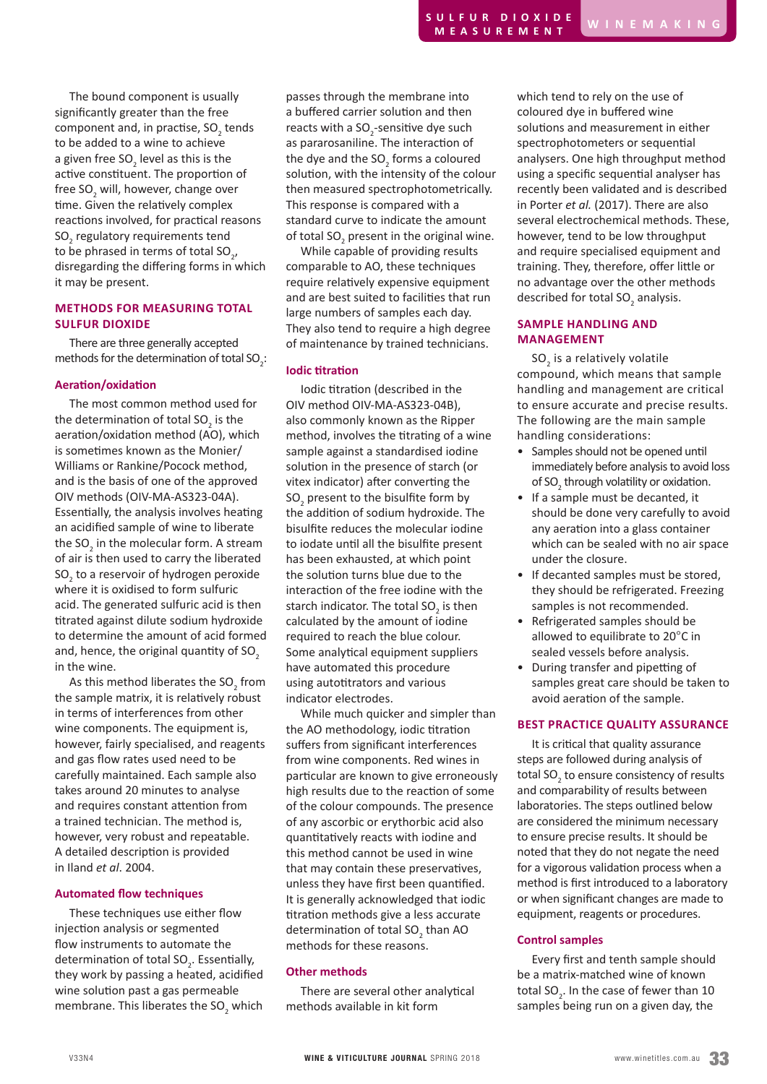The bound component is usually significantly greater than the free component and, in practise,  $\text{SO}_2$  tends to be added to a wine to achieve a given free SO<sub>2</sub> level as this is the active constituent. The proportion of free SO<sub>2</sub> will, however, change over time. Given the relatively complex reactions involved, for practical reasons SO<sub>2</sub> regulatory requirements tend to be phrased in terms of total SO<sub>2</sub>, disregarding the differing forms in which it may be present.

## **METHODS FOR MEASURING TOTAL SULFUR DIOXIDE**

There are three generally accepted methods for the determination of total  $SO_2$ :

### **Aeration/oxidation**

The most common method used for the determination of total SO<sub>2</sub> is the aeration/oxidation method (AO), which is sometimes known as the Monier/ Williams or Rankine/Pocock method, and is the basis of one of the approved OIV methods (OIV-MA-AS323-04A). Essentially, the analysis involves heating an acidified sample of wine to liberate the SO<sub>2</sub> in the molecular form. A stream of air is then used to carry the liberated  $\mathrm{SO}_2^{\vphantom{\dagger}}$  to a reservoir of hydrogen peroxide where it is oxidised to form sulfuric acid. The generated sulfuric acid is then titrated against dilute sodium hydroxide to determine the amount of acid formed and, hence, the original quantity of SO<sub>2</sub> in the wine.

As this method liberates the SO<sub>2</sub> from the sample matrix, it is relatively robust in terms of interferences from other wine components. The equipment is, however, fairly specialised, and reagents and gas flow rates used need to be carefully maintained. Each sample also takes around 20 minutes to analyse and requires constant attention from a trained technician. The method is, however, very robust and repeatable. A detailed description is provided in Iland *et al*. 2004.

#### **Automated flow techniques**

These techniques use either flow injection analysis or segmented flow instruments to automate the determination of total SO<sub>2</sub>. Essentially, they work by passing a heated, acidified wine solution past a gas permeable membrane. This liberates the  ${SO_2}$  which passes through the membrane into a buffered carrier solution and then reacts with a  $SO_2$ -sensitive dye such as pararosaniline. The interaction of the dye and the  $SO_2$  forms a coloured solution, with the intensity of the colour then measured spectrophotometrically. This response is compared with a standard curve to indicate the amount of total SO<sub>2</sub> present in the original wine.

While capable of providing results comparable to AO, these techniques require relatively expensive equipment and are best suited to facilities that run large numbers of samples each day. They also tend to require a high degree of maintenance by trained technicians.

### **Iodic titration**

Iodic titration (described in the OIV method OIV-MA-AS323-04B), also commonly known as the Ripper method, involves the titrating of a wine sample against a standardised iodine solution in the presence of starch (or vitex indicator) after converting the  $\mathrm{SO}_2$  present to the bisulfite form by the addition of sodium hydroxide. The bisulfite reduces the molecular iodine to iodate until all the bisulfite present has been exhausted, at which point the solution turns blue due to the interaction of the free iodine with the starch indicator. The total  $SO_2$  is then calculated by the amount of iodine required to reach the blue colour. Some analytical equipment suppliers have automated this procedure using autotitrators and various indicator electrodes.

While much quicker and simpler than the AO methodology, iodic titration suffers from significant interferences from wine components. Red wines in particular are known to give erroneously high results due to the reaction of some of the colour compounds. The presence of any ascorbic or erythorbic acid also quantitatively reacts with iodine and this method cannot be used in wine that may contain these preservatives, unless they have first been quantified. It is generally acknowledged that iodic titration methods give a less accurate determination of total  $SO_2$  than AO methods for these reasons.

## **Other methods**

There are several other analytical methods available in kit form

which tend to rely on the use of coloured dye in buffered wine solutions and measurement in either spectrophotometers or sequential analysers. One high throughput method using a specific sequential analyser has recently been validated and is described in Porter *et al.* (2017). There are also several electrochemical methods. These, however, tend to be low throughput and require specialised equipment and training. They, therefore, offer little or no advantage over the other methods described for total  $SO_2$  analysis.

## **SAMPLE HANDLING AND MANAGEMENT**

 $SO<sub>2</sub>$  is a relatively volatile compound, which means that sample handling and management are critical to ensure accurate and precise results. The following are the main sample handling considerations:

- Samples should not be opened until immediately before analysis to avoid loss of SO<sub>2</sub> through volatility or oxidation.
- If a sample must be decanted, it should be done very carefully to avoid any aeration into a glass container which can be sealed with no air space under the closure.
- If decanted samples must be stored, they should be refrigerated. Freezing samples is not recommended.
- Refrigerated samples should be allowed to equilibrate to 20°C in sealed vessels before analysis.
- During transfer and pipetting of samples great care should be taken to avoid aeration of the sample.

## **BEST PRACTICE QUALITY ASSURANCE**

It is critical that quality assurance steps are followed during analysis of total SO<sub>2</sub> to ensure consistency of results and comparability of results between laboratories. The steps outlined below are considered the minimum necessary to ensure precise results. It should be noted that they do not negate the need for a vigorous validation process when a method is first introduced to a laboratory or when significant changes are made to equipment, reagents or procedures.

## **Control samples**

Every first and tenth sample should be a matrix-matched wine of known total SO<sub>2</sub>. In the case of fewer than  $10$ samples being run on a given day, the